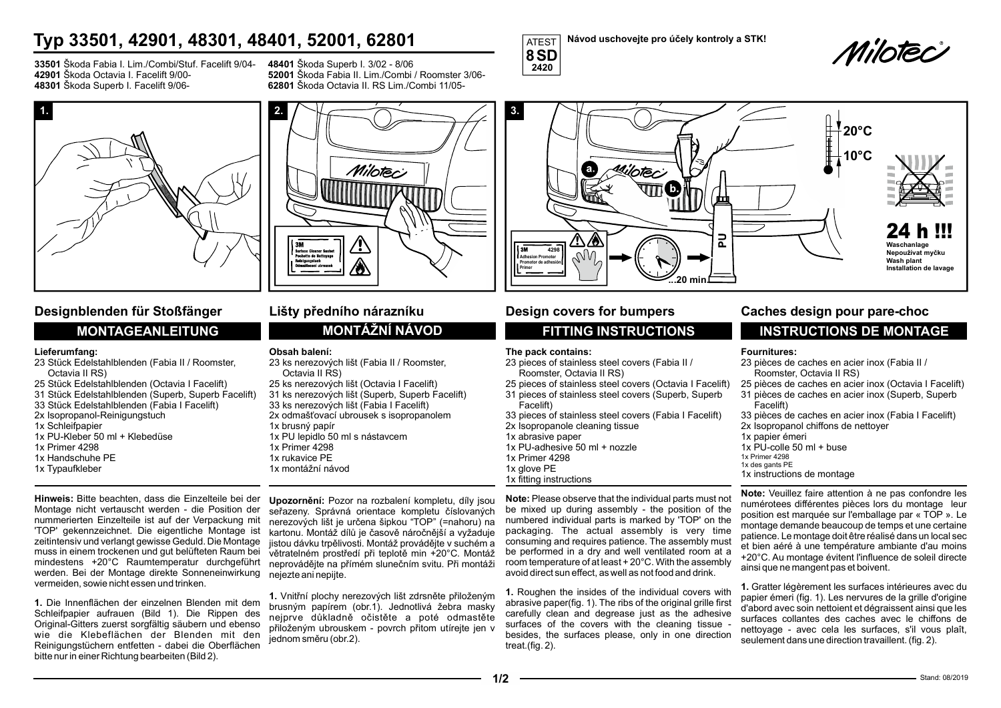# Typ 33501, 42901, 48301, 48401, 52001, 62801<br>8SD

33501 Škoda Fabia I. Lim./Combi/Stuf. Facelift 9/04- 42901 Škoda Octavia I. Facelift 9/00- 48301 Škoda Superb I. Facelift 9/0648401 Škoda Superb I. 3/02 - 8/06 52001 Škoda Fabia II. Lim./Combi / Roomster 3/06- 62801 Škoda Octavia II. RS Lim./Combi 11/05-

Milotec



## Designblenden für Stoßfänger Lišty předního nárazníku

## Lieferumfang:

- 23 Stück Edelstahlblenden (Fabia II / Roomster, Octavia II RS)
- 25 Stück Edelstahlblenden (Octavia I Facelift)
- 31 Stück Edelstahlblenden (Superb, Superb Facelift)
- 33 Stück Edelstahlblenden (Fabia I Facelift)
- 2x Isopropanol-Reinigungstuch
- 1x Schleifpapier
- 1x PU-Kleber 50 ml + Klebedüse 1x Primer 4298
- 1x Handschuhe PE
- 1x Typaufkleber
- 

## Obsah balení:

- 23 ks nerezových lišt (Fabia II / Roomster, Octavia II RS)
- 25 ks nerezových lišt (Octavia I Facelift)
- 31 ks nerezových lišt (Superb, Superb Facelift)
- 33 ks nerezových lišt (Fabia I Facelift)
- 1x brusný papír
- 1x PU lepidlo 50 ml s nástavcem
- 1x Primer 4298
- 1x rukavice PE
- 1x montážní návod

Hinweis: Bitte beachten, dass die Einzelteile bei der Montage nicht vertauscht werden - die Position der nummerierten Einzelteile ist auf der Verpackung mit 'TOP' gekennzeichnet. Die eigentliche Montage ist zeitintensiv und verlangt gewisse Geduld. Die Montage muss in einem trockenen und gut belüfteten Raum bei mindestens +20°C Raumtemperatur durchgeführt werden. Bei der Montage direkte Sonneneinwirkung vermeiden, sowie nicht essen und trinken.

1. Die Innenflächen der einzelnen Blenden mit dem Schleifpapier aufrauen (Bild 1). Die Rippen des Original-Gitters zuerst sorgfältig säubern und ebenso wie die Klebeflächen der Blenden mit den Reinigungstüchern entfetten - dabei die Oberflächen bitte nur in einer Richtung bearbeiten (Bild 2).

Upozornění: Pozor na rozbalení kompletu, díly jsou seřazeny. Správná orientace kompletu číslovaných nerezových lišt je určena šipkou "TOP" (=nahoru) na kartonu. Montáž dílů je časově náročnější a vyžaduje jistou dávku trpělivosti. Montáž provádějte v suchém a větratelném prostředí při teplotě min +20°C. Montáž neprovádějte na přímém slunečním svitu. Při montáži nejezte ani nepijte.

1. Vnitřní plochy nerezových lišt zdrsněte přiloženým brusným papírem (obr.1). Jednotlivá žebra masky nejprve důkladně očistěte a poté odmastěte přiloženým ubrouskem - povrch přitom utírejte jen v jednom směru (obr.2).

8 SD and the state of the state of the state of the state of the state of the state of the state of the state o

2420 and the contract of the contract of the contract of the contract of the contract of the contract of the contract of the contract of the contract of the contract of the contract of the contract of the contract of the c

Návod uschovejte pro účely kontroly a STK!<br> **MIDTEC** 



## The pack contains:

- 23 pieces of stainless steel covers (Fabia II / .<br>Roomster, Octavia II RS)
- 25 pieces of stainless steel covers (Octavia I Facelift)
- 31 pieces of stainless steel covers (Superb, Superb Facelift)
- 2x odmašťovací ubrousek s isopropanolem 33 pieces of stainless steel covers (Fabia I Facelift)
	- 2x Isopropanole cleaning tissue
	- 1x abrasive paper
	- 1x PU-adhesive 50 ml + nozzle
	- 1x Primer 4298
	- 1x glove PE
	- 1x fitting instructions

Note: Please observe that the individual parts must not be mixed up during assembly - the position of the numbered individual parts is marked by 'TOP' on the packaging. The actual assembly is very time consuming and requires patience. The assembly must be performed in a dry and well ventilated room at a room temperature of at least + 20°C. With the assembly avoid direct sun effect, as well as not food and drink.

1. Roughen the insides of the individual covers with abrasive paper(fig. 1). The ribs of the original grille first carefully clean and degrease just as the adhesive surfaces of the covers with the cleaning tissue besides, the surfaces please, only in one direction treat.(fig. 2).

## Caches design pour pare-choc

## MONTAGEANLEITUNG MONTÁŽNÍ NÁVOD FITTING INSTRUCTIONS INSTRUCTIONS DE MONTAGE

## Fournitures:

- 23 pièces de caches en acier inox (Fabia II / Roomster, Octavia II RS) 25 pièces de caches en acier inox (Octavia I Facelift)
- $31$  pièces de caches en acier inox (Superb, Superb
- Facelift) 33 pièces de caches en acier inox (Fabia I Facelift)
- 2x Isopropanol chiffons de nettoyer
- 1x papier émeri
- 1x PU-colle 50 ml + buse
- 1x Primer 4298
- 1x des gants PE
- 1x instructions de montage

Note: Veuillez faire attention à ne pas confondre les numérotees différentes pièces lors du montage leur position est marquée sur l'emballage par « TOP ». Le montage demande beaucoup de temps et une certaine patience. Le montage doit être réalisé dans un local sec et bien aéré à une température ambiante d'au moins +20°C. Au montage évitent l'influence de soleil directe ainsi que ne mangent pas et boivent.

1. Gratter légèrement les surfaces intérieures avec du papier émeri (fig. 1). Les nervures de la grille d'origine d'abord avec soin nettoient et dégraissent ainsi que les surfaces collantes des caches avec le chiffons de nettoyage - avec cela les surfaces, s'il vous plaît, seulement dans une direction travaillent. (fig. 2).